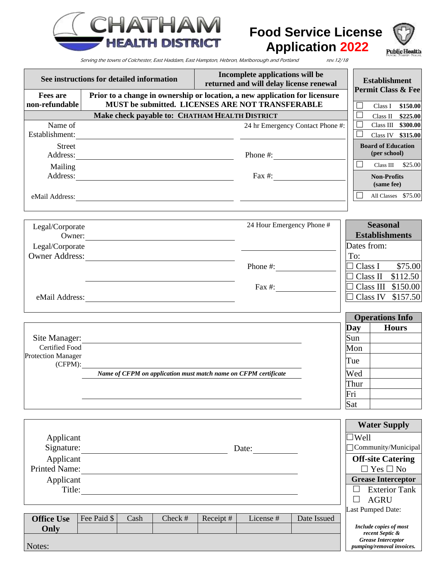

# **Food Service License Application 2022**



Serving the towns of Colchester, East Haddam, East Hampton, Hebron, Marlborough and Portland rev.12/18

| See instructions for detailed information      |                                                                                                                                 |         | Incomplete applications will be<br>returned and will delay license renewal |                           |                                  | <b>Establishment</b>                                        |
|------------------------------------------------|---------------------------------------------------------------------------------------------------------------------------------|---------|----------------------------------------------------------------------------|---------------------------|----------------------------------|-------------------------------------------------------------|
| <b>Fees are</b><br>non-refundable              | Prior to a change in ownership or location, a new application for licensure<br>MUST be submitted. LICENSES ARE NOT TRANSFERABLE |         |                                                                            |                           |                                  | <b>Permit Class &amp; Fee</b><br>Class I \$150.00<br>$\Box$ |
| Make check payable to: CHATHAM HEALTH DISTRICT |                                                                                                                                 |         |                                                                            |                           |                                  | $\Box$<br>Class II \$225.00                                 |
| Name of                                        |                                                                                                                                 |         |                                                                            |                           | 24 hr Emergency Contact Phone #: | $\Box$<br>Class III \$300.00                                |
| Establishment:                                 | <u> 1980 - Jan Samuel Barbara, martin di sebagai per</u>                                                                        |         |                                                                            |                           |                                  | ⊔<br>Class IV \$315.00                                      |
| <b>Street</b><br>Address:                      | <u> 1989 - Johann Stoff, deutscher Stoffen und der Stoffen und der Stoffen und der Stoffen und der Stoffen und der</u>          |         |                                                                            | Phone #: $\qquad \qquad$  |                                  | <b>Board of Education</b><br>(per school)                   |
| Mailing                                        |                                                                                                                                 |         |                                                                            |                           |                                  | $\Box$<br>Class III<br>\$25.00                              |
|                                                |                                                                                                                                 |         |                                                                            |                           | Fax $\#$ :                       | <b>Non-Profits</b><br>(same fee)                            |
|                                                |                                                                                                                                 |         |                                                                            |                           |                                  | П<br>All Classes \$75.00                                    |
| Legal/Corporate                                |                                                                                                                                 |         |                                                                            | 24 Hour Emergency Phone # |                                  | <b>Seasonal</b>                                             |
| Legal/Corporate                                | Owner:                                                                                                                          |         |                                                                            |                           |                                  | <b>Establishments</b><br>Dates from:                        |
| <b>Owner Address:</b>                          |                                                                                                                                 |         |                                                                            |                           |                                  | To:                                                         |
|                                                | <u> 1980 - Andrea Station Books, amerikansk politik (d. 1980)</u>                                                               |         |                                                                            |                           |                                  | \$75.00<br>$\Box$ Class I                                   |
|                                                |                                                                                                                                 |         |                                                                            |                           |                                  | $\Box$ Class II \$112.50                                    |
|                                                |                                                                                                                                 |         |                                                                            |                           |                                  | $\Box$ Class III \$150.00                                   |
|                                                |                                                                                                                                 |         |                                                                            |                           |                                  | Class IV \$157.50                                           |
|                                                |                                                                                                                                 |         |                                                                            |                           |                                  |                                                             |
|                                                |                                                                                                                                 |         |                                                                            |                           |                                  | <b>Operations Info</b>                                      |
|                                                |                                                                                                                                 |         |                                                                            |                           |                                  | <b>Hours</b><br>Day<br>Sun                                  |
| Site Manager:<br>Certified Food                | <u> 1989 - Johann Stein, marwolaethau a bhann an t-Amhain ann an t-Amhain an t-Amhain an t-Amhain an t-Amhain an </u>           |         |                                                                            |                           |                                  | Mon                                                         |
| <b>Protection Manager</b>                      |                                                                                                                                 |         |                                                                            |                           |                                  |                                                             |
| $(CFPM)$ :                                     |                                                                                                                                 |         |                                                                            |                           |                                  | Tue                                                         |
|                                                | Name of CFPM on application must match name on CFPM certificate                                                                 |         |                                                                            |                           |                                  | Wed                                                         |
|                                                |                                                                                                                                 |         |                                                                            |                           |                                  | Thur                                                        |
|                                                |                                                                                                                                 |         |                                                                            |                           |                                  | Fri<br>Sat                                                  |
|                                                |                                                                                                                                 |         |                                                                            |                           |                                  |                                                             |
|                                                |                                                                                                                                 |         |                                                                            |                           |                                  | <b>Water Supply</b>                                         |
| Applicant                                      |                                                                                                                                 |         |                                                                            |                           |                                  |                                                             |
| Signature:<br>Date:                            |                                                                                                                                 |         |                                                                            |                           |                                  | Community/Municipal                                         |
| Applicant                                      |                                                                                                                                 |         |                                                                            |                           |                                  | <b>Off-site Catering</b>                                    |
| <b>Printed Name:</b>                           |                                                                                                                                 |         |                                                                            |                           |                                  | $\square$<br>Yes $\square$<br>No                            |
| Applicant                                      |                                                                                                                                 |         |                                                                            |                           | <b>Grease Interceptor</b>        |                                                             |
| Title:                                         |                                                                                                                                 |         |                                                                            |                           |                                  | <b>Exterior Tank</b><br>$\Box$<br>┓                         |
|                                                |                                                                                                                                 |         |                                                                            |                           |                                  | <b>AGRU</b><br>Last Pumped Date:                            |
| <b>Office Use</b>                              | Fee Paid \$<br>Cash                                                                                                             | Check # | Receipt#                                                                   | License #                 | Date Issued                      |                                                             |
| Only                                           |                                                                                                                                 |         |                                                                            |                           |                                  | Include copies of most<br>recent Septic &                   |
|                                                |                                                                                                                                 |         |                                                                            |                           |                                  | <b>Grease Interceptor</b>                                   |
| Notes:                                         |                                                                                                                                 |         |                                                                            |                           |                                  | <i>pumping/removal invoices.</i>                            |